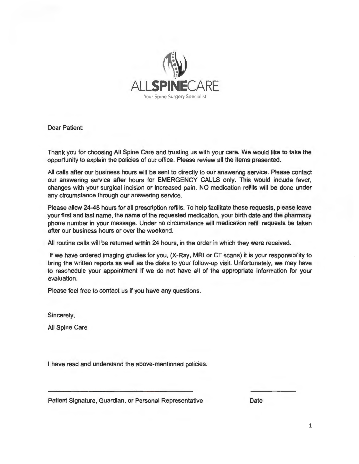

Dear Patient:

Thank you for choosing All Spine Care and trusting us with your care. We would like to take the opportunity to explain the policies of our office. Please review all the items presented.

All calls after our business hours will be sent to directly to our answering service. Please contact our answering service after hours for EMERGENCY CALLS only. This would include fever, changes with your surgical incision or increased pain, NO medication refills will be done under any circumstance through our answering service.

Please allow 24-48 hours for all prescription refills. To help facilitate these requests, please leave your first and last name, the name of the requested medication, your birth date and the pharmacy phone number in your message. Under no circumstance will medication refill requests be taken after our business hours or over the weekend.

All routine calls will be returned within 24 hours, in the order in which they were received.

If we have ordered imaging studies for you, (X-Ray, MRI or CT scans) it is your responsibility to bring the written reports as well as the disks to your follow-up visit. Unfortunately, we may have to reschedule your appointment if we do not have all of the appropriate information for your evaluation.

Please feel free to contact us if you have any questions.

Sincerely,

All Spine Care

I have read and understand the above-mentioned policies.

Patient Signature, Guardian, or Personal Representative Date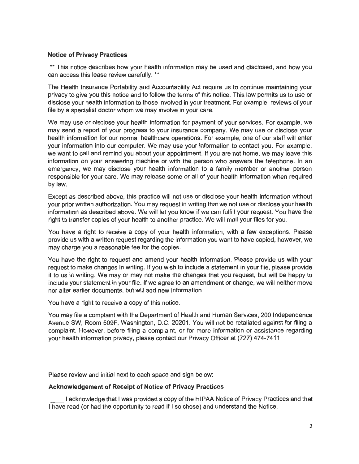# **Notice of Privacy Practices**

\*\* This notice describes how your health information may be used and disclosed, and how you can access this lease review carefully. \*\*

The Health Insurance Portability and Accountability Act require us to continue maintaining your privacy to give you this notice and to follow the terms of this notice. This law permits us to use or disclose your health information to those involved in your treatment. For example, reviews of your file by a specialist doctor whom we may involve in your care.

We may use or disclose your health information for payment of your services. For example, we may send a report of your progress to your insurance company. We may use or disclose your health information for our normal healthcare operations. For example, one of our staff will enter your information into our computer. We may use your information to contact you. For example, we want to call and remind you about your appointment. If you are not home, we may leave this information on your answering machine or with the person who answers the telephone. In an emergency, we may disclose your health information to a family member or another person responsible for your care. We may release some or all of your health information when required by law.

Except as described above, this practice will not use or disclose your health information without your prior written authorization. You may request in writing that we not use or disclose your health information as described above. We will let you know if we can fulfill your request. You have the right to transfer copies of your health to another practice. We will mail your files for you.

You have a right to receive a copy of your health information, with a few exceptions. Please provide us with a written request regarding the information you want to have copied, however, we may charge you a reasonable fee for the copies.

You have the right to request and amend your health information. Please provide us with your request to make changes in writing. If you wish to include a statement in your file, please provide it to us in writing. We may or may not make the changes that you request, but will be happy to include your statement in your file. If we agree to an amendment or change, we will neither move nor alter earlier documents, but will add new information.

You have a right to receive a copy of this notice.

You may file a complaint with the Department of Health and Human Services, 200 Independence Avenue SW, Room 509F, Washington, D.C. 20201. You will not be retaliated against for filing a complaint. However, before filing a complaint, or for more information or assistance regarding your health information privacy, please contact our Privacy Officer at (727) 474-7411.

Please review and initial next to each space and sign below:

## **Acknowledgement of Receipt of Notice of Privacy Practices**

I acknowledge that I was provided a copy of the HIPAA Notice of Privacy Practices and that I have read (or had the opportunity to read if I so chose) and understand the Notice.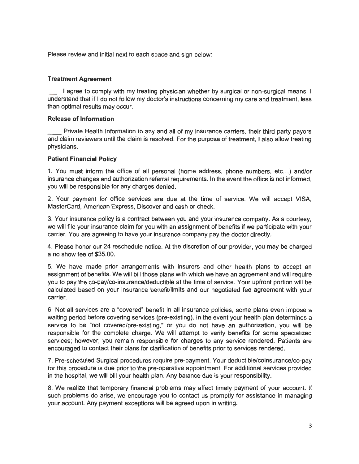Please review and initial next to each space and sign below:

### **Treatment Agreement**

I agree to comply with my treating physician whether by surgical or non-surgical means. I understand that if I do not follow my doctor's instructions concerning my care and treatment, less than optimal results may occur.

#### **Release of Information**

Private Health Information to any and all of my insurance carriers, their third party payors and claim reviewers until the claim is resolved. For the purpose of treatment, I also allow treating physicians.

#### **Patient Financial Policy**

1. You must inform the office of all personal (home address, phone numbers, etc...) and/or insurance changes and authorization referral requirements. In the event the office is not informed, you will be responsible for any charges denied.

2. Your payment for office services are due at the time of service. We will accept VISA, MasterCard, American Express, Discover and cash or check.

3. Your insurance policy is a contract between you and your insurance company. As a courtesy, we will file your insurance claim for you with an assignment of benefits if we participate with your carrier. You are agreeing to have your insurance company pay the doctor directly.

4. Please honor our 24 reschedule notice. At the discretion of our provider, you may be charged a no show fee of \$35.00.

5. We have made prior arrangements with insurers and other health plans to accept an assignment of benefits. We will bill those plans with which we have an agreement and will require you to pay the co-pay/co-insurance/deductible at the time of service. Your upfront portion will be calculated based on your insurance benefit/limits and our negotiated fee agreement with your carrier.

6. Not all services are a "covered" benefit in all insurance policies, some plans even impose a waiting period before covering services (pre-existing). In the event your health plan determines a service to be "not covered/pre-existing," or you do not have an authorization, you will be responsible for the complete charge. We will attempt to verify benefits for some specialized services; however, you remain responsible for charges to any service rendered. Patients are encouraged to contact their plans for clarification of benefits prior to services rendered.

7. Pre-scheduled Surgical procedures require pre-payment. Your deductible/coinsurance/co-pay for this procedure is due prior to the pre-operative appointment. For additional services provided in the hospital, we will bill your health plan. Any balance due is your responsibility.

8. We realize that temporary financial problems may affect timely payment of your account. If such problems do arise, we encourage you to contact us promptly for assistance in managing your account. Any payment exceptions will be agreed upon in writing.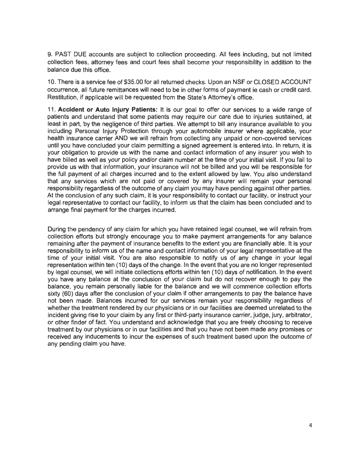9. PAST DUE accounts are subject to collection proceeding. All fees including, but not limited collection fees, attorney fees and court fees shall become your responsibility in addition to the balance due this office.

10. There is a service fee of \$35.00 for all returned checks. Upon an NSF or CLOSED ACCOUNT occurrence, all future remittances will need to be in other forms of payment ie cash or credit card. Restitution, if applicable will be requested from the State's Attorney's office.

11. **Accident or Auto Injury Patients:** It is our goal to offer our services to a wide range of patients and understand that some patients may require our care due to injuries sustained, at least in part, by the negligence of third parties. We attempt to bill any insurance available to you including Personal Injury Protection through your automobile insurer where applicable, your health insurance carrier AND we will refrain from collecting any unpaid or non-covered services until you have concluded your claim permitting a signed agreement is entered into. In return, it is your obligation to provide us with the name and contact information of any insurer you wish to have billed as well as your policy and/or claim number at the time of your initial visit. If you fail to provide us with that information, your insurance will not be billed and you will be responsible for the full payment of all charges incurred and to the extent allowed by law. You also understand that any services which are not paid or covered by any insurer will remain your personal responsibility regardless of the outcome of any claim you may have pending against other parties. At the conclusion of any such claim, it is your responsibility to contact our facility, or instruct your legal representative to contact our facility, to inform us that the claim has been concluded and to arrange final payment for the charges incurred.

During the pendency of any claim for which you have retained legal counsel, we will refrain from collection efforts but strongly encourage you to make payment arrangements for any balance remaining after the payment of insurance benefits to the extent you are financially able. It is your responsibility to inform us of the name and contact information of your legal representative at the time of your initial visit. You are also responsible to notify us of any change in your legal representation within ten (10) days of the change. In the event that you are no longer represented by legal counsel, we will initiate collections efforts within ten (10) days of notification. In the event you have any balance at the conclusion of your claim but do not recover enough to pay the balance, you remain personally liable for the balance and we will commence collection efforts sixty (60) days after the conclusion of your claim if other arrangements to pay the balance have not been made. Balances incurred for our services remain your responsibility regardless of whether the treatment rendered by our physicians or in our facilities are deemed unrelated to the incident giving rise to your claim by any first or third-party insurance carrier, judge, jury, arbitrator, or other finder of fact. You understand and acknowledge that you are freely choosing to receive treatment by our physicians or in our facilities and that you have not been made any promises or received any inducements to incur the expenses of such treatment based upon the outcome of any pending claim you have.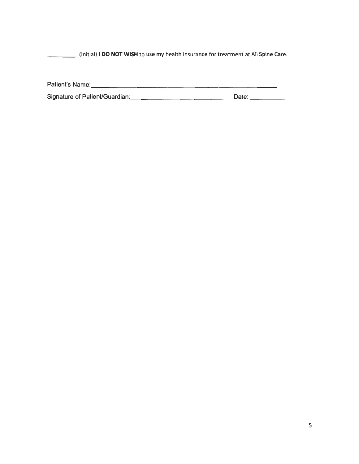\_\_\_\_ (Initial) I **DO NOT WISH** to use my health insurance for treatment at All Spine Care.

| Patient's Name:                |       |
|--------------------------------|-------|
| Signature of Patient/Guardian: | Date: |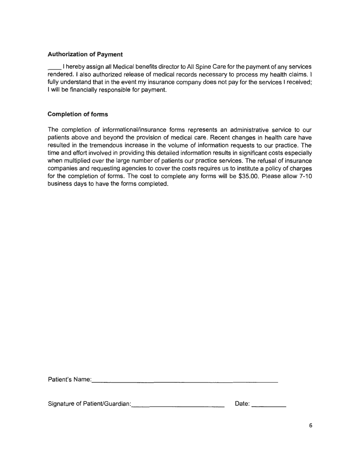# **Authorization of Payment**

\_\_ I hereby assign all Medical benefits director to All Spine Care for the payment of any services rendered. I also authorized release of medical records necessary to process my health claims. I fully understand that in the event my insurance company does not pay for the services I received; I will be financially responsible for payment.

# **Completion of forms**

The completion of informational/insurance forms represents an administrative service to our patients above and beyond the provision of medical care. Recent changes in health care have resulted in the tremendous increase in the volume of information requests to our practice. The time and effort involved in providing this detailed information results in significant costs especially when multiplied over the large number of patients our practice services. The refusal of insurance companies and requesting agencies to cover the costs requires us to institute a policy of charges for the completion of forms. The cost to complete any forms will be \$35.00. Please allow 7-10 business days to have the forms completed.

Patient's Name: <u>and the set of the set of the set of the set of the set of the set of the set of the set of the set of the set of the set of the set of the set of the set of the set of the set of the set of the set of the</u>

Signature of PatienUGuardian: \_\_\_\_\_\_\_\_\_\_\_ \_ Date: \_\_\_ \_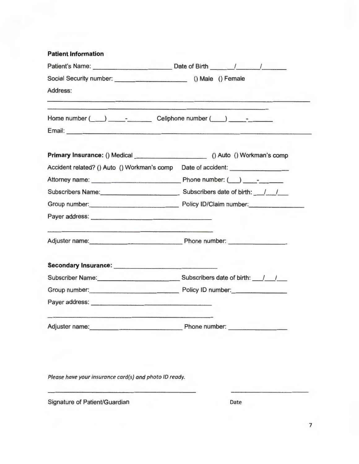| <b>Patient Information</b>                                                                                                                                                                                                       |  |  |  |
|----------------------------------------------------------------------------------------------------------------------------------------------------------------------------------------------------------------------------------|--|--|--|
| Patient's Name: Date of Birth / /                                                                                                                                                                                                |  |  |  |
|                                                                                                                                                                                                                                  |  |  |  |
| Address:                                                                                                                                                                                                                         |  |  |  |
| Home number ( ) - Cellphone number ( ) - -                                                                                                                                                                                       |  |  |  |
|                                                                                                                                                                                                                                  |  |  |  |
|                                                                                                                                                                                                                                  |  |  |  |
| Accident related? () Auto () Workman's comp  Date of accident:                                                                                                                                                                   |  |  |  |
|                                                                                                                                                                                                                                  |  |  |  |
| Subscribers Name: Subscribers date of birth: ///                                                                                                                                                                                 |  |  |  |
| Group number: Policy ID/Claim number:                                                                                                                                                                                            |  |  |  |
| Payer address: experience and a series of the series of the series of the series of the series of the series of the series of the series of the series of the series of the series of the series of the series of the series o   |  |  |  |
| Adjuster name: Phone number:                                                                                                                                                                                                     |  |  |  |
| Secondary Insurance: Management Control of the Secondary Insurance:                                                                                                                                                              |  |  |  |
| Subscriber Name: Subscribers date of birth: ///                                                                                                                                                                                  |  |  |  |
| Group number: Policy ID number:                                                                                                                                                                                                  |  |  |  |
| Payer address:<br>The Contract of Contract of Contract of Contract of Contract of Contract of Contract of Contract of Contract of Contract of Contract of Contract of Contract of Contract of Contract of Contract of Contract o |  |  |  |
| Adjuster name: Phone number:                                                                                                                                                                                                     |  |  |  |

Please have your insurance card(s) and photo ID ready.

Signature of Patient/Guardian Date